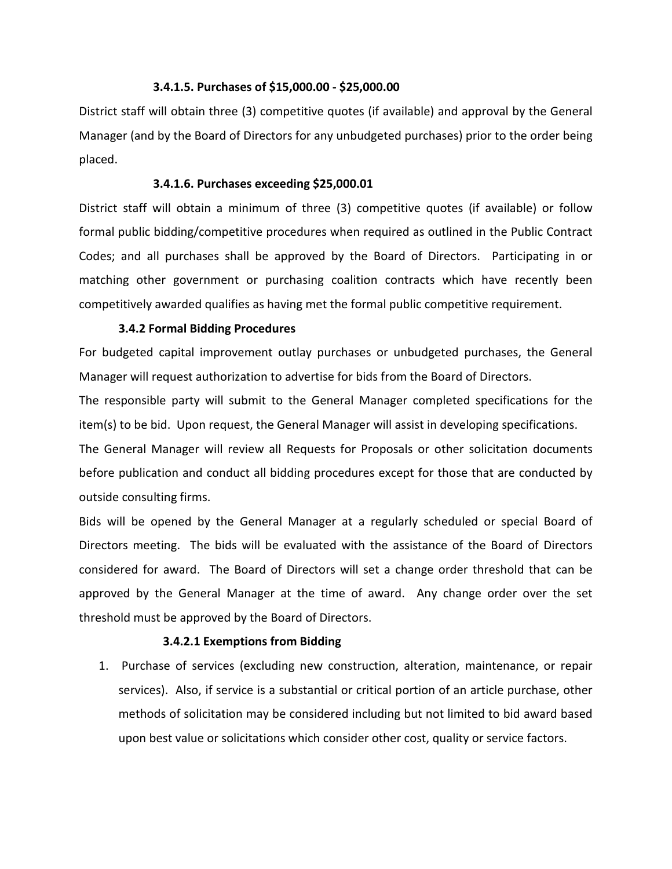#### **3.4.1.5. Purchases of \$15,000.00 - \$25,000.00**

District staff will obtain three (3) competitive quotes (if available) and approval by the General Manager (and by the Board of Directors for any unbudgeted purchases) prior to the order being placed.

#### **3.4.1.6. Purchases exceeding \$25,000.01**

District staff will obtain a minimum of three (3) competitive quotes (if available) or follow formal public bidding/competitive procedures when required as outlined in the Public Contract Codes; and all purchases shall be approved by the Board of Directors. Participating in or matching other government or purchasing coalition contracts which have recently been competitively awarded qualifies as having met the formal public competitive requirement.

# **3.4.2 Formal Bidding Procedures**

For budgeted capital improvement outlay purchases or unbudgeted purchases, the General Manager will request authorization to advertise for bids from the Board of Directors.

The responsible party will submit to the General Manager completed specifications for the item(s) to be bid. Upon request, the General Manager will assist in developing specifications.

The General Manager will review all Requests for Proposals or other solicitation documents before publication and conduct all bidding procedures except for those that are conducted by outside consulting firms.

Bids will be opened by the General Manager at a regularly scheduled or special Board of Directors meeting. The bids will be evaluated with the assistance of the Board of Directors considered for award. The Board of Directors will set a change order threshold that can be approved by the General Manager at the time of award. Any change order over the set threshold must be approved by the Board of Directors.

# **3.4.2.1 Exemptions from Bidding**

1. Purchase of services (excluding new construction, alteration, maintenance, or repair services). Also, if service is a substantial or critical portion of an article purchase, other methods of solicitation may be considered including but not limited to bid award based upon best value or solicitations which consider other cost, quality or service factors.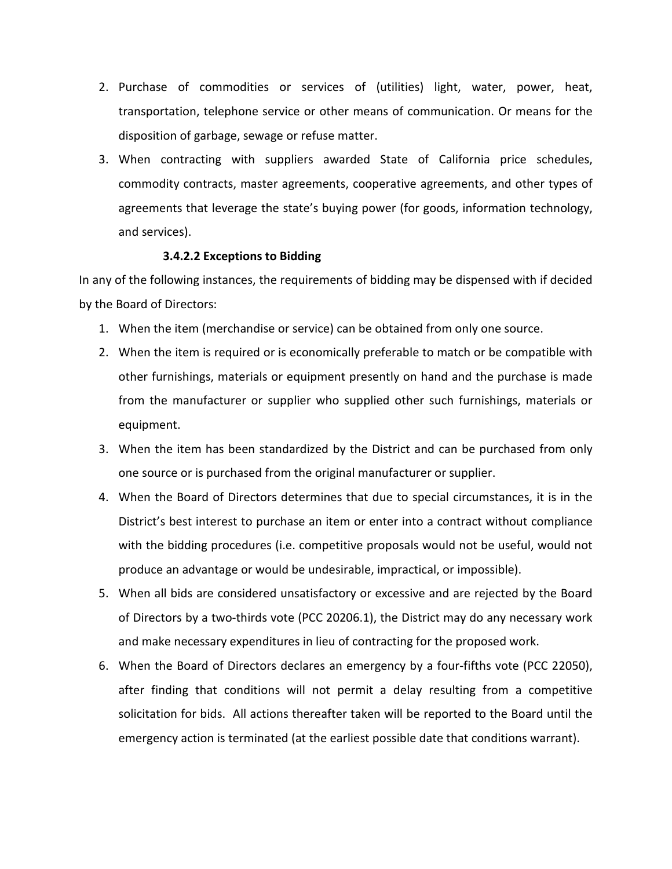- 2. Purchase of commodities or services of (utilities) light, water, power, heat, transportation, telephone service or other means of communication. Or means for the disposition of garbage, sewage or refuse matter.
- 3. When contracting with suppliers awarded State of California price schedules, commodity contracts, master agreements, cooperative agreements, and other types of agreements that leverage the state's buying power (for goods, information technology, and services).

### **3.4.2.2 Exceptions to Bidding**

In any of the following instances, the requirements of bidding may be dispensed with if decided by the Board of Directors:

- 1. When the item (merchandise or service) can be obtained from only one source.
- 2. When the item is required or is economically preferable to match or be compatible with other furnishings, materials or equipment presently on hand and the purchase is made from the manufacturer or supplier who supplied other such furnishings, materials or equipment.
- 3. When the item has been standardized by the District and can be purchased from only one source or is purchased from the original manufacturer or supplier.
- 4. When the Board of Directors determines that due to special circumstances, it is in the District's best interest to purchase an item or enter into a contract without compliance with the bidding procedures (i.e. competitive proposals would not be useful, would not produce an advantage or would be undesirable, impractical, or impossible).
- 5. When all bids are considered unsatisfactory or excessive and are rejected by the Board of Directors by a two-thirds vote (PCC 20206.1), the District may do any necessary work and make necessary expenditures in lieu of contracting for the proposed work.
- 6. When the Board of Directors declares an emergency by a four-fifths vote (PCC 22050), after finding that conditions will not permit a delay resulting from a competitive solicitation for bids. All actions thereafter taken will be reported to the Board until the emergency action is terminated (at the earliest possible date that conditions warrant).